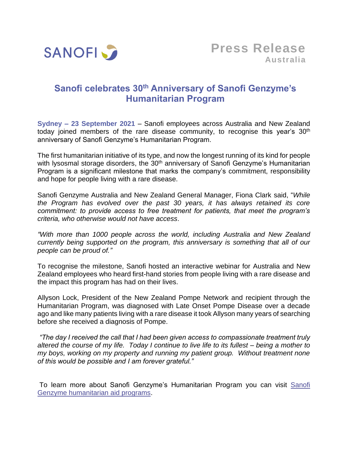

## **Sanofi celebrates 30th Anniversary of Sanofi Genzyme's Humanitarian Program**

**Sydney – 23 September 2021** – Sanofi employees across Australia and New Zealand today joined members of the rare disease community, to recognise this year's  $30<sup>th</sup>$ anniversary of Sanofi Genzyme's Humanitarian Program.

The first humanitarian initiative of its type, and now the longest running of its kind for people with lysosmal storage disorders, the 30<sup>th</sup> anniversary of Sanofi Genzyme's Humanitarian Program is a significant milestone that marks the company's commitment, responsibility and hope for people living with a rare disease.

Sanofi Genzyme Australia and New Zealand General Manager, Fiona Clark said, "*While the Program has evolved over the past 30 years, it has always retained its core commitment: to provide access to free treatment for patients, that meet the program's criteria, who otherwise would not have access*.

*"With more than 1000 people across the world, including Australia and New Zealand currently being supported on the program, this anniversary is something that all of our people can be proud of."*

To recognise the milestone, Sanofi hosted an interactive webinar for Australia and New Zealand employees who heard first-hand stories from people living with a rare disease and the impact this program has had on their lives.

Allyson Lock, President of the New Zealand Pompe Network and recipient through the Humanitarian Program, was diagnosed with Late Onset Pompe Disease over a decade ago and like many patients living with a rare disease it took Allyson many years of searching before she received a diagnosis of Pompe.

*"The day I received the call that I had been given access to compassionate treatment truly altered the course of my life. Today I continue to live life to its fullest – being a mother to my boys, working on my property and running my patient group. Without treatment none of this would be possible and I am forever grateful."*

To learn more about Sanofi Genzyme's Humanitarian Program you can visit [Sanofi](https://www.sanofi.com/en/our-responsibility/healthcare-for-all/sanofi-genzyme-humanitarian-aid-programs)  [Genzyme humanitarian aid programs.](https://www.sanofi.com/en/our-responsibility/healthcare-for-all/sanofi-genzyme-humanitarian-aid-programs)